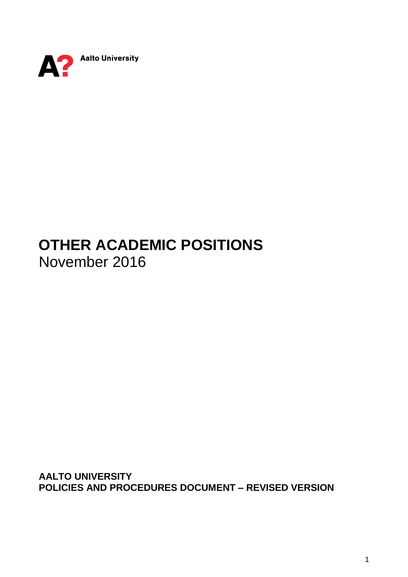

# **OTHER ACADEMIC POSITIONS** November 2016

**AALTO UNIVERSITY POLICIES AND PROCEDURES DOCUMENT – REVISED VERSION**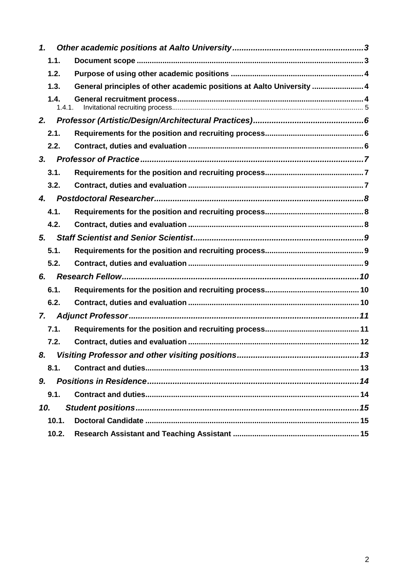| $\mathbf 1$    |                                                                       |
|----------------|-----------------------------------------------------------------------|
| 1.1.           |                                                                       |
| 1.2.           |                                                                       |
| 1.3.           | General principles of other academic positions at Aalto University  4 |
| 1.4.<br>1.4.1. |                                                                       |
| 2.             |                                                                       |
| 2.1.           |                                                                       |
| 2.2.           |                                                                       |
| 3 <sub>r</sub> |                                                                       |
| 3.1.           |                                                                       |
| 3.2.           |                                                                       |
| 4.             |                                                                       |
| 4.1.           |                                                                       |
| 4.2.           |                                                                       |
| 5.             |                                                                       |
| 5.1.           |                                                                       |
| 5.2.           |                                                                       |
| 6.             |                                                                       |
| 6.1.           |                                                                       |
| 6.2.           |                                                                       |
| 7.             |                                                                       |
| 7.1.           |                                                                       |
| 7.2.           |                                                                       |
| 8.             |                                                                       |
| 8.1.           |                                                                       |
| 9.             |                                                                       |
| 9.1.           |                                                                       |
| 10.            |                                                                       |
| 10.1.          |                                                                       |
| 10.2.          |                                                                       |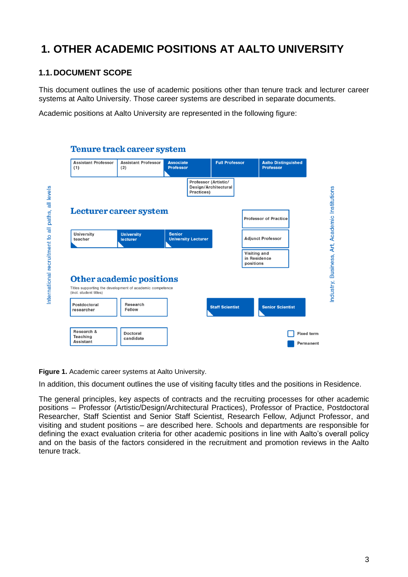## <span id="page-2-0"></span>**1. OTHER ACADEMIC POSITIONS AT AALTO UNIVERSITY**

### <span id="page-2-1"></span>**1.1.DOCUMENT SCOPE**

This document outlines the use of academic positions other than tenure track and lecturer career systems at Aalto University. Those career systems are described in separate documents.

Academic positions at Aalto University are represented in the following figure:

| <b>Assistant Professor</b><br>(1)                    | <b>Assistant Professor</b><br>(2)                                                                                        | <b>Associate</b><br><b>Professor</b> |                                                            | <b>Full Professor</b>  |                                           | <b>Aalto Distinguished</b><br><b>Professor</b> |  |
|------------------------------------------------------|--------------------------------------------------------------------------------------------------------------------------|--------------------------------------|------------------------------------------------------------|------------------------|-------------------------------------------|------------------------------------------------|--|
|                                                      |                                                                                                                          |                                      | Professor (Artistic/<br>Design/Architectural<br>Practices) |                        |                                           |                                                |  |
|                                                      | Lecturer career system                                                                                                   |                                      |                                                            |                        |                                           | <b>Professor of Practice</b>                   |  |
| <b>University</b><br>teacher                         | <b>University</b><br><b>lecturer</b>                                                                                     | <b>Senior</b>                        | <b>University Lecturer</b>                                 |                        |                                           | <b>Adjunct Professor</b>                       |  |
|                                                      |                                                                                                                          |                                      |                                                            |                        | Visiting and<br>in Residence<br>positions |                                                |  |
|                                                      |                                                                                                                          |                                      |                                                            |                        |                                           |                                                |  |
| (incl. student titles)<br>Postdoctoral<br>researcher | <b>Other academic positions</b><br>Titles supporting the development of academic competence<br>Research<br><b>Fellow</b> |                                      |                                                            | <b>Staff Scientist</b> |                                           | <b>Senior Scientist</b>                        |  |

**Figure 1.** Academic career systems at Aalto University.

In addition, this document outlines the use of visiting faculty titles and the positions in Residence.

The general principles, key aspects of contracts and the recruiting processes for other academic positions – Professor (Artistic/Design/Architectural Practices), Professor of Practice, Postdoctoral Researcher, Staff Scientist and Senior Staff Scientist, Research Fellow, Adjunct Professor, and visiting and student positions – are described here. Schools and departments are responsible for defining the exact evaluation criteria for other academic positions in line with Aalto's overall policy and on the basis of the factors considered in the recruitment and promotion reviews in the Aalto tenure track.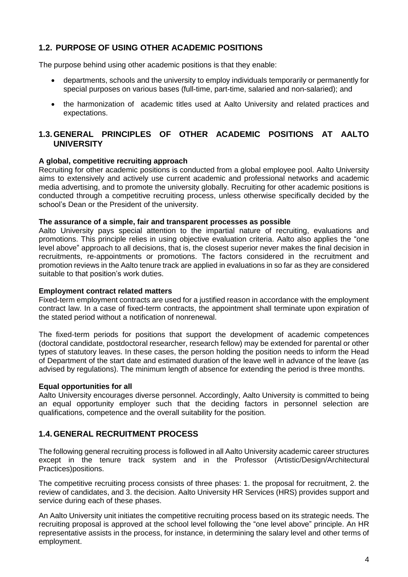#### <span id="page-3-0"></span>**1.2. PURPOSE OF USING OTHER ACADEMIC POSITIONS**

The purpose behind using other academic positions is that they enable:

- departments, schools and the university to employ individuals temporarily or permanently for special purposes on various bases (full-time, part-time, salaried and non-salaried); and
- the harmonization of academic titles used at Aalto University and related practices and expectations.

#### <span id="page-3-1"></span>**1.3.GENERAL PRINCIPLES OF OTHER ACADEMIC POSITIONS AT AALTO UNIVERSITY**

#### **A global, competitive recruiting approach**

Recruiting for other academic positions is conducted from a global employee pool. Aalto University aims to extensively and actively use current academic and professional networks and academic media advertising, and to promote the university globally. Recruiting for other academic positions is conducted through a competitive recruiting process, unless otherwise specifically decided by the school's Dean or the President of the university.

#### **The assurance of a simple, fair and transparent processes as possible**

Aalto University pays special attention to the impartial nature of recruiting, evaluations and promotions. This principle relies in using objective evaluation criteria. Aalto also applies the "one level above" approach to all decisions, that is, the closest superior never makes the final decision in recruitments, re-appointments or promotions. The factors considered in the recruitment and promotion reviews in the Aalto tenure track are applied in evaluations in so far as they are considered suitable to that position's work duties.

#### **Employment contract related matters**

Fixed-term employment contracts are used for a justified reason in accordance with the employment contract law. In a case of fixed-term contracts, the appointment shall terminate upon expiration of the stated period without a notification of nonrenewal.

The fixed-term periods for positions that support the development of academic competences (doctoral candidate, postdoctoral researcher, research fellow) may be extended for parental or other types of statutory leaves. In these cases, the person holding the position needs to inform the Head of Department of the start date and estimated duration of the leave well in advance of the leave (as advised by regulations). The minimum length of absence for extending the period is three months.

#### **Equal opportunities for all**

Aalto University encourages diverse personnel. Accordingly, Aalto University is committed to being an equal opportunity employer such that the deciding factors in personnel selection are qualifications, competence and the overall suitability for the position.

#### <span id="page-3-2"></span>**1.4.GENERAL RECRUITMENT PROCESS**

The following general recruiting process is followed in all Aalto University academic career structures except in the tenure track system and in the Professor (Artistic/Design/Architectural Practices)positions.

The competitive recruiting process consists of three phases: 1. the proposal for recruitment, 2. the review of candidates, and 3. the decision. Aalto University HR Services (HRS) provides support and service during each of these phases.

An Aalto University unit initiates the competitive recruiting process based on its strategic needs. The recruiting proposal is approved at the school level following the "one level above" principle. An HR representative assists in the process, for instance, in determining the salary level and other terms of employment.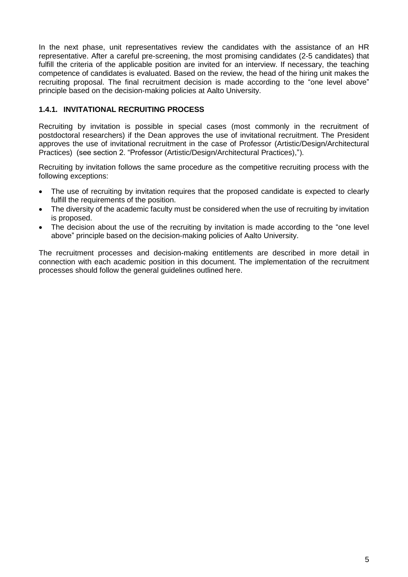In the next phase, unit representatives review the candidates with the assistance of an HR representative. After a careful pre-screening, the most promising candidates (2-5 candidates) that fulfill the criteria of the applicable position are invited for an interview. If necessary, the teaching competence of candidates is evaluated. Based on the review, the head of the hiring unit makes the recruiting proposal. The final recruitment decision is made according to the "one level above" principle based on the decision-making policies at Aalto University.

#### <span id="page-4-0"></span>**1.4.1. INVITATIONAL RECRUITING PROCESS**

Recruiting by invitation is possible in special cases (most commonly in the recruitment of postdoctoral researchers) if the Dean approves the use of invitational recruitment. The President approves the use of invitational recruitment in the case of Professor (Artistic/Design/Architectural Practices) (see section 2. "Professor (Artistic/Design/Architectural Practices),").

Recruiting by invitation follows the same procedure as the competitive recruiting process with the following exceptions:

- The use of recruiting by invitation requires that the proposed candidate is expected to clearly fulfill the requirements of the position.
- The diversity of the academic faculty must be considered when the use of recruiting by invitation is proposed.
- The decision about the use of the recruiting by invitation is made according to the "one level" above" principle based on the decision-making policies of Aalto University.

The recruitment processes and decision-making entitlements are described in more detail in connection with each academic position in this document. The implementation of the recruitment processes should follow the general guidelines outlined here.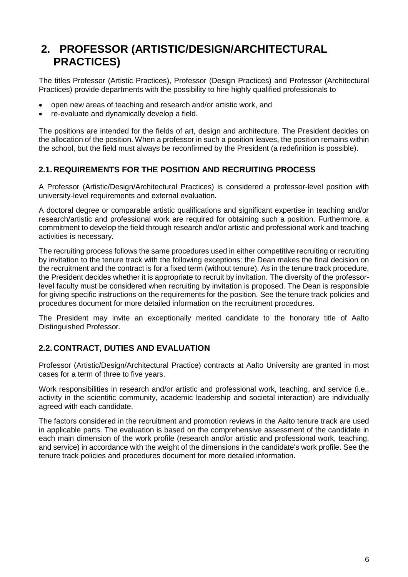## <span id="page-5-0"></span>**2. PROFESSOR (ARTISTIC/DESIGN/ARCHITECTURAL PRACTICES)**

The titles Professor (Artistic Practices), Professor (Design Practices) and Professor (Architectural Practices) provide departments with the possibility to hire highly qualified professionals to

- open new areas of teaching and research and/or artistic work, and
- re-evaluate and dynamically develop a field.

The positions are intended for the fields of art, design and architecture. The President decides on the allocation of the position. When a professor in such a position leaves, the position remains within the school, but the field must always be reconfirmed by the President (a redefinition is possible).

### <span id="page-5-1"></span>**2.1.REQUIREMENTS FOR THE POSITION AND RECRUITING PROCESS**

A Professor (Artistic/Design/Architectural Practices) is considered a professor-level position with university-level requirements and external evaluation.

A doctoral degree or comparable artistic qualifications and significant expertise in teaching and/or research/artistic and professional work are required for obtaining such a position. Furthermore, a commitment to develop the field through research and/or artistic and professional work and teaching activities is necessary.

The recruiting process follows the same procedures used in either competitive recruiting or recruiting by invitation to the tenure track with the following exceptions: the Dean makes the final decision on the recruitment and the contract is for a fixed term (without tenure). As in the tenure track procedure, the President decides whether it is appropriate to recruit by invitation. The diversity of the professorlevel faculty must be considered when recruiting by invitation is proposed. The Dean is responsible for giving specific instructions on the requirements for the position. See the tenure track policies and procedures document for more detailed information on the recruitment procedures.

The President may invite an exceptionally merited candidate to the honorary title of Aalto Distinguished Professor.

## <span id="page-5-2"></span>**2.2.CONTRACT, DUTIES AND EVALUATION**

Professor (Artistic/Design/Architectural Practice) contracts at Aalto University are granted in most cases for a term of three to five years.

Work responsibilities in research and/or artistic and professional work, teaching, and service (i.e., activity in the scientific community, academic leadership and societal interaction) are individually agreed with each candidate.

The factors considered in the recruitment and promotion reviews in the Aalto tenure track are used in applicable parts. The evaluation is based on the comprehensive assessment of the candidate in each main dimension of the work profile (research and/or artistic and professional work, teaching, and service) in accordance with the weight of the dimensions in the candidate's work profile. See the tenure track policies and procedures document for more detailed information.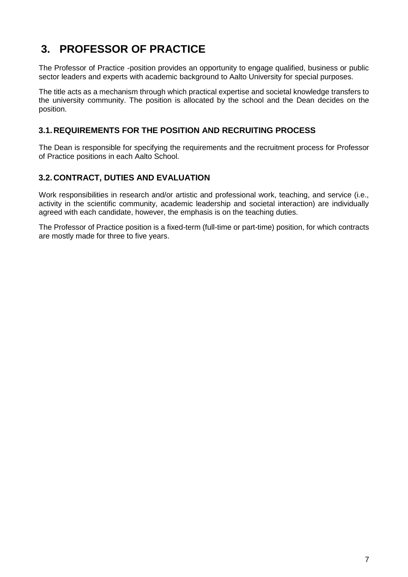## <span id="page-6-0"></span>**3. PROFESSOR OF PRACTICE**

The Professor of Practice -position provides an opportunity to engage qualified, business or public sector leaders and experts with academic background to Aalto University for special purposes.

The title acts as a mechanism through which practical expertise and societal knowledge transfers to the university community. The position is allocated by the school and the Dean decides on the position.

#### <span id="page-6-1"></span>**3.1.REQUIREMENTS FOR THE POSITION AND RECRUITING PROCESS**

The Dean is responsible for specifying the requirements and the recruitment process for Professor of Practice positions in each Aalto School.

### <span id="page-6-2"></span>**3.2.CONTRACT, DUTIES AND EVALUATION**

Work responsibilities in research and/or artistic and professional work, teaching, and service (i.e., activity in the scientific community, academic leadership and societal interaction) are individually agreed with each candidate, however, the emphasis is on the teaching duties.

The Professor of Practice position is a fixed-term (full-time or part-time) position, for which contracts are mostly made for three to five years.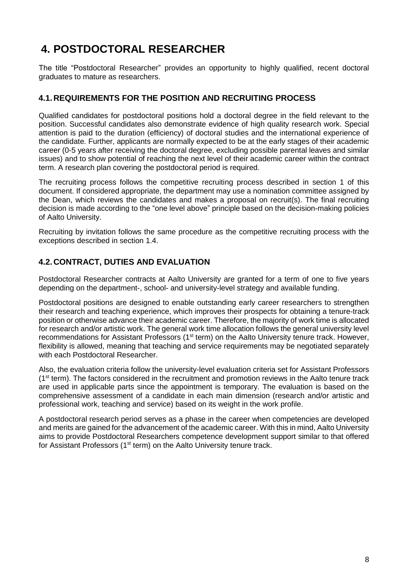## <span id="page-7-0"></span>**4. POSTDOCTORAL RESEARCHER**

The title "Postdoctoral Researcher" provides an opportunity to highly qualified, recent doctoral graduates to mature as researchers.

### <span id="page-7-1"></span>**4.1.REQUIREMENTS FOR THE POSITION AND RECRUITING PROCESS**

Qualified candidates for postdoctoral positions hold a doctoral degree in the field relevant to the position. Successful candidates also demonstrate evidence of high quality research work. Special attention is paid to the duration (efficiency) of doctoral studies and the international experience of the candidate. Further, applicants are normally expected to be at the early stages of their academic career (0-5 years after receiving the doctoral degree, excluding possible parental leaves and similar issues) and to show potential of reaching the next level of their academic career within the contract term. A research plan covering the postdoctoral period is required.

The recruiting process follows the competitive recruiting process described in section [1](#page-2-0) of this document. If considered appropriate, the department may use a nomination committee assigned by the Dean, which reviews the candidates and makes a proposal on recruit(s). The final recruiting decision is made according to the "one level above" principle based on the decision-making policies of Aalto University.

Recruiting by invitation follows the same procedure as the competitive recruiting process with the exceptions described in section [1.4.](#page-3-2)

#### <span id="page-7-2"></span>**4.2.CONTRACT, DUTIES AND EVALUATION**

Postdoctoral Researcher contracts at Aalto University are granted for a term of one to five years depending on the department-, school- and university-level strategy and available funding.

Postdoctoral positions are designed to enable outstanding early career researchers to strengthen their research and teaching experience, which improves their prospects for obtaining a tenure-track position or otherwise advance their academic career. Therefore, the majority of work time is allocated for research and/or artistic work. The general work time allocation follows the general university level recommendations for Assistant Professors (1<sup>st</sup> term) on the Aalto University tenure track. However, flexibility is allowed, meaning that teaching and service requirements may be negotiated separately with each Postdoctoral Researcher.

Also, the evaluation criteria follow the university-level evaluation criteria set for Assistant Professors (1<sup>st</sup> term). The factors considered in the recruitment and promotion reviews in the Aalto tenure track are used in applicable parts since the appointment is temporary. The evaluation is based on the comprehensive assessment of a candidate in each main dimension (research and/or artistic and professional work, teaching and service) based on its weight in the work profile.

A postdoctoral research period serves as a phase in the career when competencies are developed and merits are gained for the advancement of the academic career. With this in mind, Aalto University aims to provide Postdoctoral Researchers competence development support similar to that offered for Assistant Professors (1<sup>st</sup> term) on the Aalto University tenure track.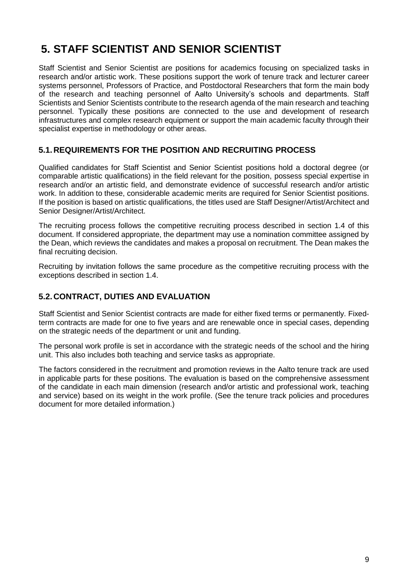## <span id="page-8-0"></span>**5. STAFF SCIENTIST AND SENIOR SCIENTIST**

Staff Scientist and Senior Scientist are positions for academics focusing on specialized tasks in research and/or artistic work. These positions support the work of tenure track and lecturer career systems personnel, Professors of Practice, and Postdoctoral Researchers that form the main body of the research and teaching personnel of Aalto University's schools and departments. Staff Scientists and Senior Scientists contribute to the research agenda of the main research and teaching personnel. Typically these positions are connected to the use and development of research infrastructures and complex research equipment or support the main academic faculty through their specialist expertise in methodology or other areas.

### <span id="page-8-1"></span>**5.1.REQUIREMENTS FOR THE POSITION AND RECRUITING PROCESS**

Qualified candidates for Staff Scientist and Senior Scientist positions hold a doctoral degree (or comparable artistic qualifications) in the field relevant for the position, possess special expertise in research and/or an artistic field, and demonstrate evidence of successful research and/or artistic work. In addition to these, considerable academic merits are required for Senior Scientist positions. If the position is based on artistic qualifications, the titles used are Staff Designer/Artist/Architect and Senior Designer/Artist/Architect.

The recruiting process follows the competitive recruiting process described in section [1.4](#page-3-2) of this document. If considered appropriate, the department may use a nomination committee assigned by the Dean, which reviews the candidates and makes a proposal on recruitment. The Dean makes the final recruiting decision.

Recruiting by invitation follows the same procedure as the competitive recruiting process with the exceptions described in section 1.4.

## <span id="page-8-2"></span>**5.2.CONTRACT, DUTIES AND EVALUATION**

Staff Scientist and Senior Scientist contracts are made for either fixed terms or permanently. Fixedterm contracts are made for one to five years and are renewable once in special cases, depending on the strategic needs of the department or unit and funding.

The personal work profile is set in accordance with the strategic needs of the school and the hiring unit. This also includes both teaching and service tasks as appropriate.

The factors considered in the recruitment and promotion reviews in the Aalto tenure track are used in applicable parts for these positions. The evaluation is based on the comprehensive assessment of the candidate in each main dimension (research and/or artistic and professional work, teaching and service) based on its weight in the work profile. (See the tenure track policies and procedures document for more detailed information.)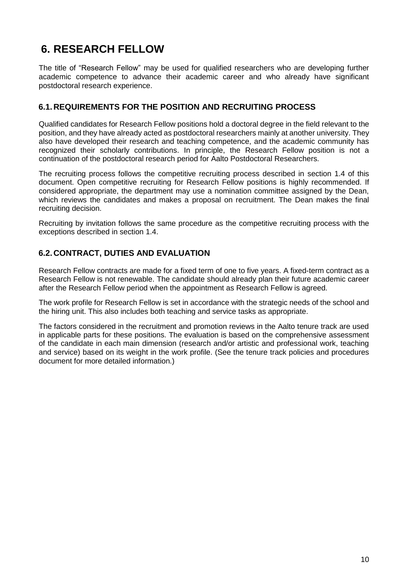## <span id="page-9-0"></span>**6. RESEARCH FELLOW**

The title of "Research Fellow" may be used for qualified researchers who are developing further academic competence to advance their academic career and who already have significant postdoctoral research experience.

### <span id="page-9-1"></span>**6.1.REQUIREMENTS FOR THE POSITION AND RECRUITING PROCESS**

Qualified candidates for Research Fellow positions hold a doctoral degree in the field relevant to the position, and they have already acted as postdoctoral researchers mainly at another university. They also have developed their research and teaching competence, and the academic community has recognized their scholarly contributions. In principle, the Research Fellow position is not a continuation of the postdoctoral research period for Aalto Postdoctoral Researchers.

The recruiting process follows the competitive recruiting process described in section [1.4](#page-3-2) of this document. Open competitive recruiting for Research Fellow positions is highly recommended. If considered appropriate, the department may use a nomination committee assigned by the Dean, which reviews the candidates and makes a proposal on recruitment. The Dean makes the final recruiting decision.

Recruiting by invitation follows the same procedure as the competitive recruiting process with the exceptions described in section 1.4.

### <span id="page-9-2"></span>**6.2.CONTRACT, DUTIES AND EVALUATION**

Research Fellow contracts are made for a fixed term of one to five years. A fixed-term contract as a Research Fellow is not renewable. The candidate should already plan their future academic career after the Research Fellow period when the appointment as Research Fellow is agreed.

The work profile for Research Fellow is set in accordance with the strategic needs of the school and the hiring unit. This also includes both teaching and service tasks as appropriate.

The factors considered in the recruitment and promotion reviews in the Aalto tenure track are used in applicable parts for these positions. The evaluation is based on the comprehensive assessment of the candidate in each main dimension (research and/or artistic and professional work, teaching and service) based on its weight in the work profile. (See the tenure track policies and procedures document for more detailed information.)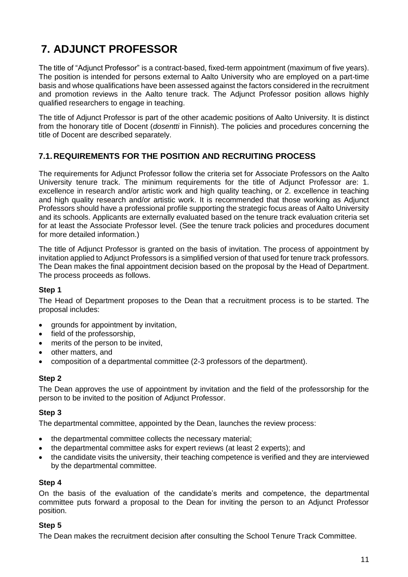## <span id="page-10-0"></span>**7. ADJUNCT PROFESSOR**

The title of "Adjunct Professor" is a contract-based, fixed-term appointment (maximum of five years). The position is intended for persons external to Aalto University who are employed on a part-time basis and whose qualifications have been assessed against the factors considered in the recruitment and promotion reviews in the Aalto tenure track. The Adjunct Professor position allows highly qualified researchers to engage in teaching.

The title of Adjunct Professor is part of the other academic positions of Aalto University. It is distinct from the honorary title of Docent (*dosentti* in Finnish). The policies and procedures concerning the title of Docent are described separately.

### <span id="page-10-1"></span>**7.1.REQUIREMENTS FOR THE POSITION AND RECRUITING PROCESS**

The requirements for Adjunct Professor follow the criteria set for Associate Professors on the Aalto University tenure track. The minimum requirements for the title of Adjunct Professor are: 1. excellence in research and/or artistic work and high quality teaching, or 2. excellence in teaching and high quality research and/or artistic work. It is recommended that those working as Adjunct Professors should have a professional profile supporting the strategic focus areas of Aalto University and its schools. Applicants are externally evaluated based on the tenure track evaluation criteria set for at least the Associate Professor level. (See the tenure track policies and procedures document for more detailed information.)

The title of Adjunct Professor is granted on the basis of invitation. The process of appointment by invitation applied to Adjunct Professors is a simplified version of that used for tenure track professors. The Dean makes the final appointment decision based on the proposal by the Head of Department. The process proceeds as follows.

#### **Step 1**

The Head of Department proposes to the Dean that a recruitment process is to be started. The proposal includes:

- arounds for appointment by invitation,
- field of the professorship,
- merits of the person to be invited,
- other matters, and
- composition of a departmental committee (2-3 professors of the department).

#### **Step 2**

The Dean approves the use of appointment by invitation and the field of the professorship for the person to be invited to the position of Adjunct Professor.

#### **Step 3**

The departmental committee, appointed by the Dean, launches the review process:

- the departmental committee collects the necessary material;
- the departmental committee asks for expert reviews (at least 2 experts); and
- the candidate visits the university, their teaching competence is verified and they are interviewed by the departmental committee.

#### **Step 4**

On the basis of the evaluation of the candidate's merits and competence, the departmental committee puts forward a proposal to the Dean for inviting the person to an Adjunct Professor position.

#### **Step 5**

The Dean makes the recruitment decision after consulting the School Tenure Track Committee.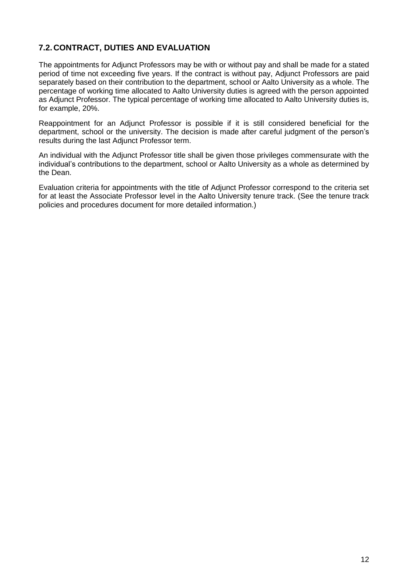### <span id="page-11-0"></span>**7.2.CONTRACT, DUTIES AND EVALUATION**

The appointments for Adjunct Professors may be with or without pay and shall be made for a stated period of time not exceeding five years. If the contract is without pay, Adjunct Professors are paid separately based on their contribution to the department, school or Aalto University as a whole. The percentage of working time allocated to Aalto University duties is agreed with the person appointed as Adjunct Professor. The typical percentage of working time allocated to Aalto University duties is, for example, 20%.

Reappointment for an Adjunct Professor is possible if it is still considered beneficial for the department, school or the university. The decision is made after careful judgment of the person's results during the last Adjunct Professor term.

An individual with the Adjunct Professor title shall be given those privileges commensurate with the individual's contributions to the department, school or Aalto University as a whole as determined by the Dean.

Evaluation criteria for appointments with the title of Adjunct Professor correspond to the criteria set for at least the Associate Professor level in the Aalto University tenure track. (See the tenure track policies and procedures document for more detailed information.)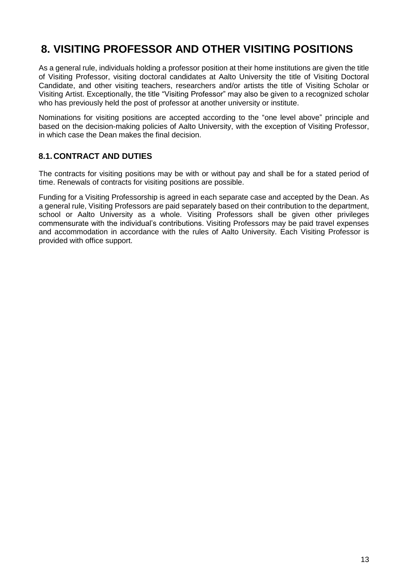## <span id="page-12-0"></span>**8. VISITING PROFESSOR AND OTHER VISITING POSITIONS**

As a general rule, individuals holding a professor position at their home institutions are given the title of Visiting Professor, visiting doctoral candidates at Aalto University the title of Visiting Doctoral Candidate, and other visiting teachers, researchers and/or artists the title of Visiting Scholar or Visiting Artist. Exceptionally, the title "Visiting Professor" may also be given to a recognized scholar who has previously held the post of professor at another university or institute.

Nominations for visiting positions are accepted according to the "one level above" principle and based on the decision-making policies of Aalto University, with the exception of Visiting Professor, in which case the Dean makes the final decision.

### <span id="page-12-1"></span>**8.1.CONTRACT AND DUTIES**

The contracts for visiting positions may be with or without pay and shall be for a stated period of time. Renewals of contracts for visiting positions are possible.

Funding for a Visiting Professorship is agreed in each separate case and accepted by the Dean. As a general rule, Visiting Professors are paid separately based on their contribution to the department, school or Aalto University as a whole. Visiting Professors shall be given other privileges commensurate with the individual's contributions. Visiting Professors may be paid travel expenses and accommodation in accordance with the rules of Aalto University. Each Visiting Professor is provided with office support.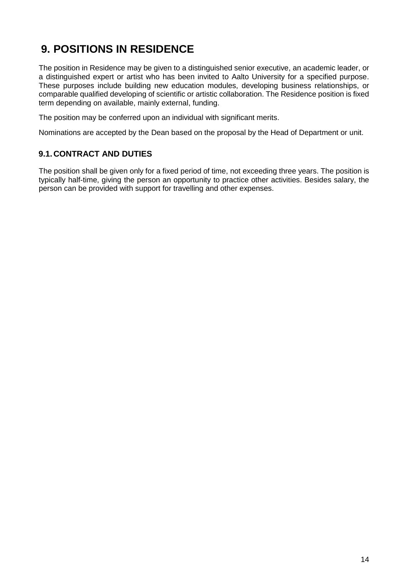## <span id="page-13-0"></span>**9. POSITIONS IN RESIDENCE**

The position in Residence may be given to a distinguished senior executive, an academic leader, or a distinguished expert or artist who has been invited to Aalto University for a specified purpose. These purposes include building new education modules, developing business relationships, or comparable qualified developing of scientific or artistic collaboration. The Residence position is fixed term depending on available, mainly external, funding.

The position may be conferred upon an individual with significant merits.

Nominations are accepted by the Dean based on the proposal by the Head of Department or unit.

### <span id="page-13-1"></span>**9.1.CONTRACT AND DUTIES**

The position shall be given only for a fixed period of time, not exceeding three years. The position is typically half-time, giving the person an opportunity to practice other activities. Besides salary, the person can be provided with support for travelling and other expenses.